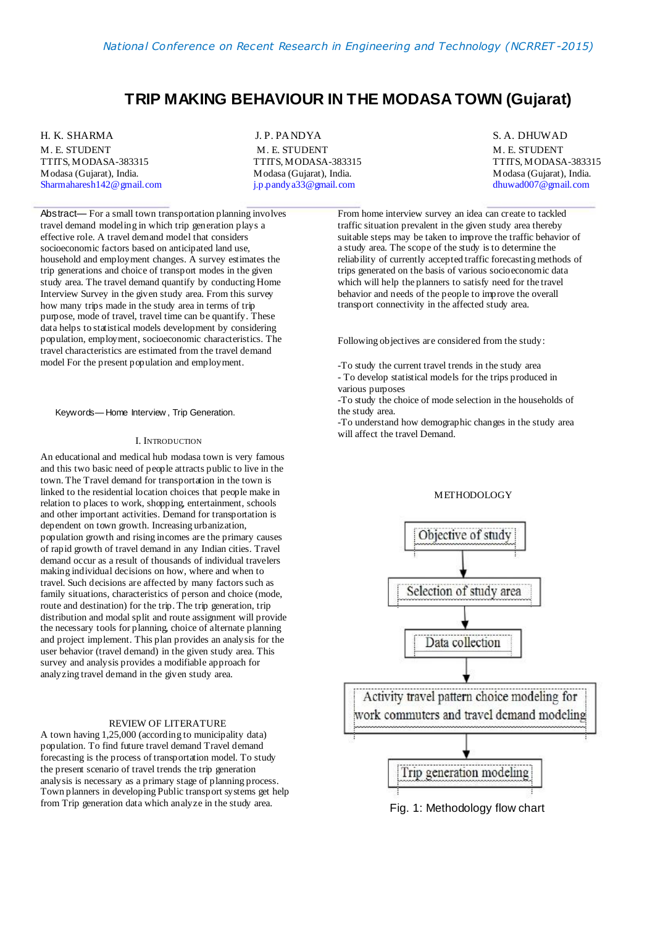# **TRIP MAKING BEHAVIOUR IN THE MODASA TOWN (Gujarat)**

H. K. SHARMA M. E. STUDENT TTITS, MODASA-383315 Modasa (Gujarat), India. Sharmaharesh142@gmail.com

J. P. PANDYA M. E. STUDENT TTITS, MODASA-383315 Modasa (Gujarat), India. j.p.pandya33@gmail.com

S. A. DHUWAD M. E. STUDENT TTITS, MODASA-383315 Modasa (Gujarat), India. dhuwad007@gmail.com

Abstract— For a small town transportation planning involves travel demand modeling in which trip generation plays a effective role. A travel demand model that considers socioeconomic factors based on anticipated land use, household and employment changes. A survey estimates the trip generations and choice of transport modes in the given study area. The travel demand quantify by conducting Home Interview Survey in the given study area. From this survey how many trips made in the study area in terms of trip purpose, mode of travel, travel time can be quantify. These data helps to statistical models development by considering population, employment, socioeconomic characteristics. The travel characteristics are estimated from the travel demand model For the present population and employment.

Keywords— Home Interview , Trip Generation.

#### I. INTRODUCTION

An educational and medical hub modasa town is very famous and this two basic need of people attracts public to live in the town. The Travel demand for transportation in the town is linked to the residential location choices that people make in relation to places to work, shopping, entertainment, schools and other important activities. Demand for transportation is dependent on town growth. Increasing urbanization, population growth and rising incomes are the primary causes of rapid growth of travel demand in any Indian cities. Travel demand occur as a result of thousands of individual travelers making individual decisions on how, where and when to travel. Such decisions are affected by many factors such as family situations, characteristics of person and choice (mode, route and destination) for the trip. The trip generation, trip distribution and modal split and route assignment will provide the necessary tools for planning, choice of alternate planning and project implement. This plan provides an analysis for the user behavior (travel demand) in the given study area. This survey and analysis provides a modifiable approach for analyzing travel demand in the given study area.

#### REVIEW OF LITERATURE

A town having 1,25,000 (according to municipality data) population. To find future travel demand Travel demand forecasting is the process of transportation model. To study the present scenario of travel trends the trip generation analysis is necessary as a primary stage of planning process. Town planners in developing Public transport systems get help from Trip generation data which analyze in the study area.

From home interview survey an idea can create to tackled traffic situation prevalent in the given study area thereby suitable steps may be taken to improve the traffic behavior of a study area. The scope of the study is to determine the reliability of currently accepted traffic forecasting methods of trips generated on the basis of various socioeconomic data which will help the planners to satisfy need for the travel behavior and needs of the people to improve the overall transport connectivity in the affected study area.

Following objectives are considered from the study:

-To study the current travel trends in the study area

- To develop statistical models for the trips produced in various purposes

-To study the choice of mode selection in the households of the study area.

-To understand how demographic changes in the study area will affect the travel Demand.

#### **METHODOLOGY**



Fig. 1: Methodology flow chart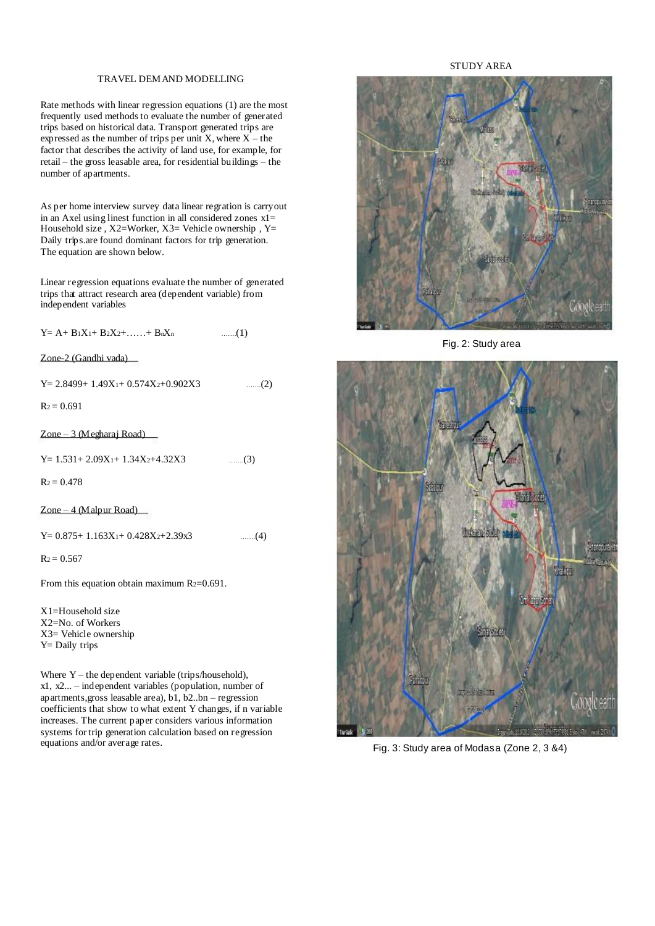## TRAVEL DEMAND MODELLING

Rate methods with linear regression equations (1) are the most frequently used methods to evaluate the number of generated trips based on historical data. Transport generated trips are expressed as the number of trips per unit  $X$ , where  $X$  – the factor that describes the activity of land use, for example, for retail – the gross leasable area, for residential buildings – the number of apartments.

As per home interview survey data linear regration is carryout in an Axel using linest function in all considered zones  $x1=$ Household size, X2=Worker, X3= Vehicle ownership, Y= Daily trips.are found dominant factors for trip generation. The equation are shown below.

Linear regression equations evaluate the number of generated trips that attract research area (dependent variable) from independent variables

 $Y = A + B_1X_1 + B_2X_2 + \ldots + B_nX_n$ …….(1)

Zone-2 (Gandhi vada)

 $Y= 2.8499+ 1.49X_1+ 0.574X_2+ 0.902X3$ …….(2)

 $R_2 = 0.691$ 

Zone – 3 (Megharaj Road)

 $Y= 1.531+ 2.09X1+ 1.34X2+4.32X3$ …….(3)

 $R_2 = 0.478$ 

Zone – 4 (Malpur Road)

 $Y= 0.875+ 1.163X_1+ 0.428X_2+2.39x3$ …….(4)

 $R_2 = 0.567$ 

From this equation obtain maximum R<sub>2</sub>=0.691.

X1=Household size X2=No. of Workers X3= Vehicle ownership Y= Daily trips

Where  $Y$  – the dependent variable (trips/household), x1, x2... – independent variables (population, number of apartments,gross leasable area), b1, b2..bn – regression coefficients that show to what extent Y changes, if n variable increases. The current paper considers various information systems for trip generation calculation based on regression equations and/or average rates.

## STUDY AREA



Fig. 2: Study area



Fig. 3: Study area of Modasa (Zone 2, 3 &4)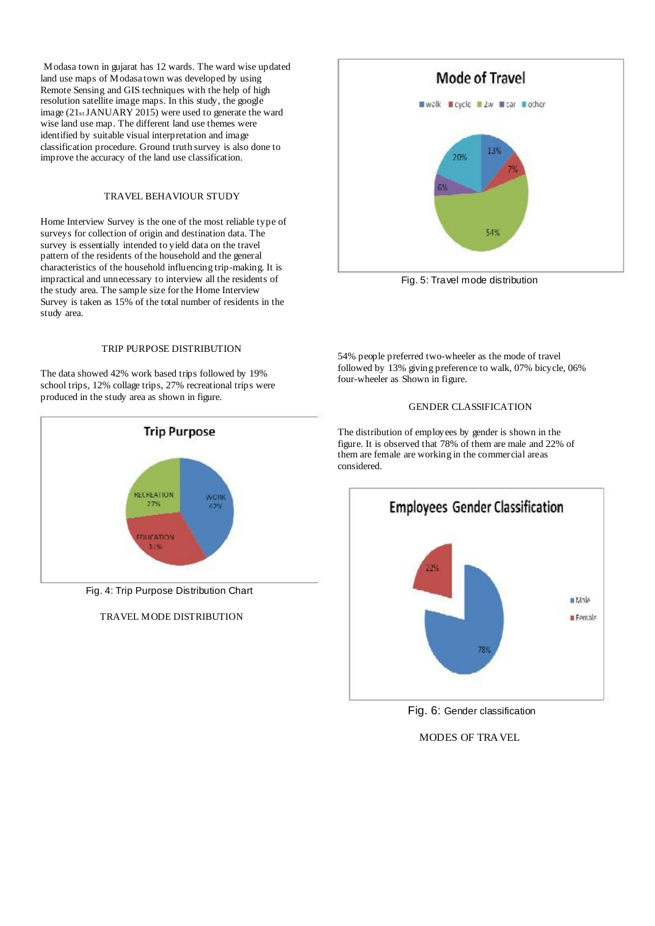Modasa town in gujarat has 12 wards. The ward wise updated land use maps of Modasa town was developed by using Remote Sensing and GIS techniques with the help of high resolution satellite image maps. In this study, the google image (21stJANUARY 2015) were used to generate the ward wise land use map. The different land use themes were identified by suitable visual interpretation and image classification procedure. Ground truth survey is also done to improve the accuracy of the land use classification.

## TRAVEL BEHAVIOUR STUDY

Home Interview Survey is the one of the most reliable type of surveys for collection of origin and destination data. The survey is essentially intended to yield data on the travel pattern of the residents of the household and the general characteristics of the household influencing trip-making. It is impractical and unnecessary to interview all the residents of the study area. The sample size for the Home Interview Survey is taken as 15% of the total number of residents in the study area.

#### TRIP PURPOSE DISTRIBUTION

The data showed 42% work based trips followed by 19% school trips, 12% collage trips, 27% recreational trips were produced in the study area as shown in figure.



Fig. 4: Trip Purpose Distribution Chart

## TRAVEL MODE DISTRIBUTION



Fig. 5: Travel mode distribution

54% people preferred two-wheeler as the mode of travel followed by 13% giving preference to walk, 07% bicycle, 06% four-wheeler as Shown in figure.

## GENDER CLASSIFICATION

The distribution of employees by gender is shown in the figure. It is observed that 78% of them are male and 22% of them are female are working in the commercial areas considered.



Fig. 6: Gender classification

MODES OF TRAVEL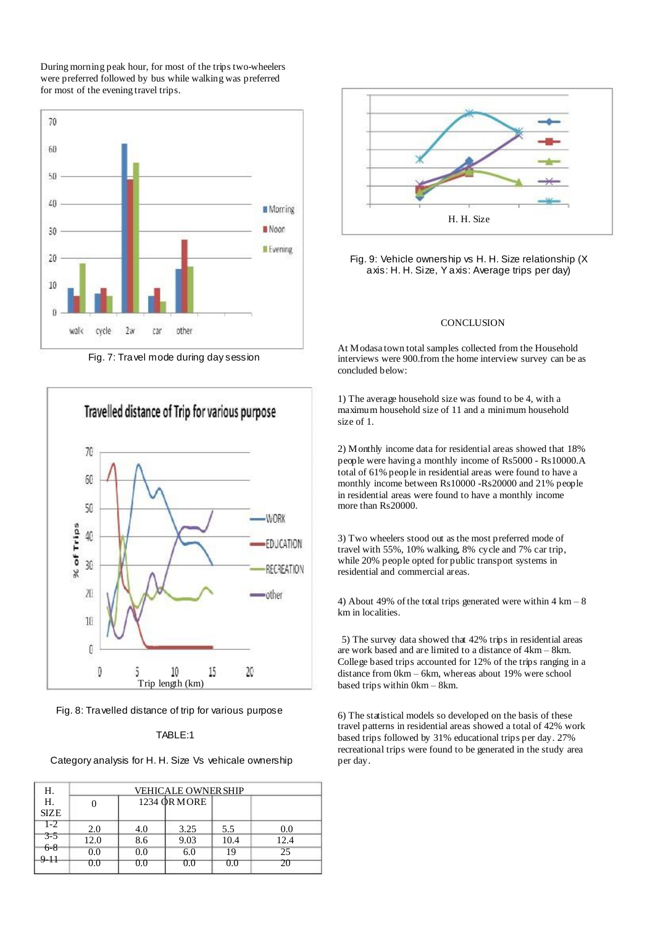During morning peak hour, for most of the trips two-wheelers were preferred followed by bus while walking was preferred for most of the evening travel trips.



Fig. 7: Travel mode during day session



Fig. 8: Travelled distance of trip for various purpose

## TABLE:1

Category analysis for H. H. Size Vs vehicale ownership

| Н.               | <b>VEHICALE OWNER SHIP</b> |     |              |      |      |
|------------------|----------------------------|-----|--------------|------|------|
| Н.               |                            |     | 1234 QR MORE |      |      |
| <b>SIZE</b>      |                            |     |              |      |      |
| $\overline{1-2}$ | 2.0                        | 4.0 | 3.25         | 5.5  | 0.0  |
| $3 - 5$          | 12.0                       | 8.6 | 9.03         | 10.4 | 12.4 |
| $6 - 8$<br>9-11  | 0.0                        | 0.0 | 6.0          | 19   | 25   |
|                  | 0.0                        | 0.0 | 0.0          | 0.0  | 20   |



Fig. 9: Vehicle ownership vs H. H. Size relationship (X axis: H. H. Size, Y axis: Average trips per day)

## **CONCLUSION**

At Modasa town total samples collected from the Household interviews were 900.from the home interview survey can be as concluded below:

1) The average household size was found to be 4, with a maximum household size of 11 and a minimum household size of 1.

2) Monthly income data for residential areas showed that 18% people were having a monthly income of Rs5000 - Rs10000.A total of 61% people in residential areas were found to have a monthly income between Rs10000 -Rs20000 and 21% people in residential areas were found to have a monthly income more than Rs20000.

3) Two wheelers stood out asthe most preferred mode of travel with 55%, 10% walking, 8% cycle and 7% car trip, while 20% people opted for public transport systems in residential and commercial areas.

4) About 49% of the total trips generated were within  $4 \text{ km} - 8$ km in localities.

5) The survey data showed that 42% trips in residential areas are work based and are limited to a distance of 4km – 8km. College based trips accounted for 12% of the trips ranging in a distance from 0km – 6km, whereas about 19% were school based trips within 0km – 8km.

6) The statistical models so developed on the basis of these travel patterns in residential areas showed a total of 42% work based trips followed by 31% educational trips per day. 27% recreational trips were found to be generated in the study area per day.